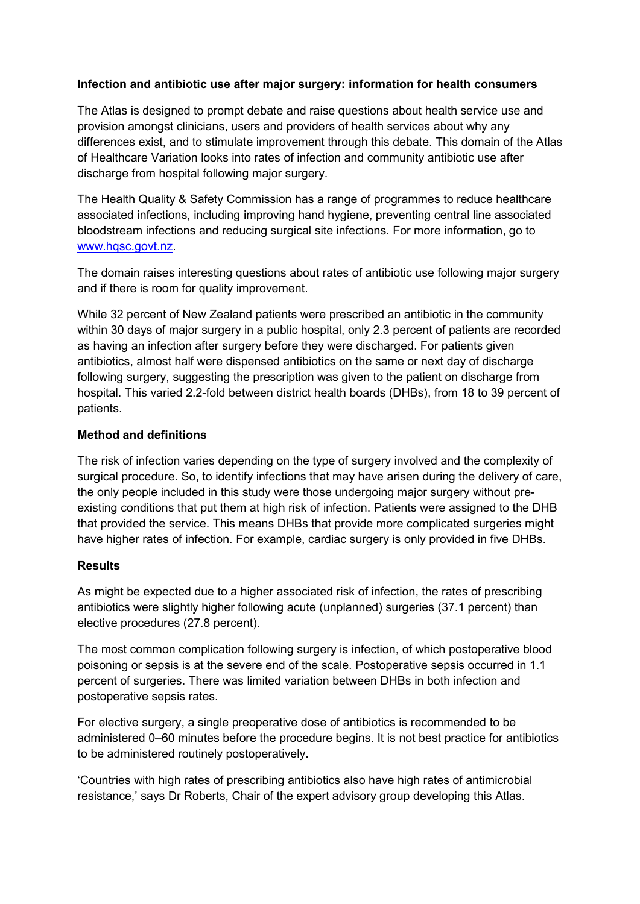## **Infection and antibiotic use after major surgery: information for health consumers**

The Atlas is designed to prompt debate and raise questions about health service use and provision amongst clinicians, users and providers of health services about why any differences exist, and to stimulate improvement through this debate. This domain of the Atlas of Healthcare Variation looks into rates of infection and community antibiotic use after discharge from hospital following major surgery.

The Health Quality & Safety Commission has a range of programmes to reduce healthcare associated infections, including improving hand hygiene, preventing central line associated bloodstream infections and reducing surgical site infections. For more information, go to [www.hqsc.govt.nz.](http://www.hqsc.govt.nz/)

The domain raises interesting questions about rates of antibiotic use following major surgery and if there is room for quality improvement.

While 32 percent of New Zealand patients were prescribed an antibiotic in the community within 30 days of major surgery in a public hospital, only 2.3 percent of patients are recorded as having an infection after surgery before they were discharged. For patients given antibiotics, almost half were dispensed antibiotics on the same or next day of discharge following surgery, suggesting the prescription was given to the patient on discharge from hospital. This varied 2.2-fold between district health boards (DHBs), from 18 to 39 percent of patients.

## **Method and definitions**

The risk of infection varies depending on the type of surgery involved and the complexity of surgical procedure. So, to identify infections that may have arisen during the delivery of care, the only people included in this study were those undergoing major surgery without preexisting conditions that put them at high risk of infection. Patients were assigned to the DHB that provided the service. This means DHBs that provide more complicated surgeries might have higher rates of infection. For example, cardiac surgery is only provided in five DHBs.

## **Results**

As might be expected due to a higher associated risk of infection, the rates of prescribing antibiotics were slightly higher following acute (unplanned) surgeries (37.1 percent) than elective procedures (27.8 percent).

The most common complication following surgery is infection, of which postoperative blood poisoning or sepsis is at the severe end of the scale. Postoperative sepsis occurred in 1.1 percent of surgeries. There was limited variation between DHBs in both infection and postoperative sepsis rates.

For elective surgery, a single preoperative dose of antibiotics is recommended to be administered 0–60 minutes before the procedure begins. It is not best practice for antibiotics to be administered routinely postoperatively.

'Countries with high rates of prescribing antibiotics also have high rates of antimicrobial resistance,' says Dr Roberts, Chair of the expert advisory group developing this Atlas.